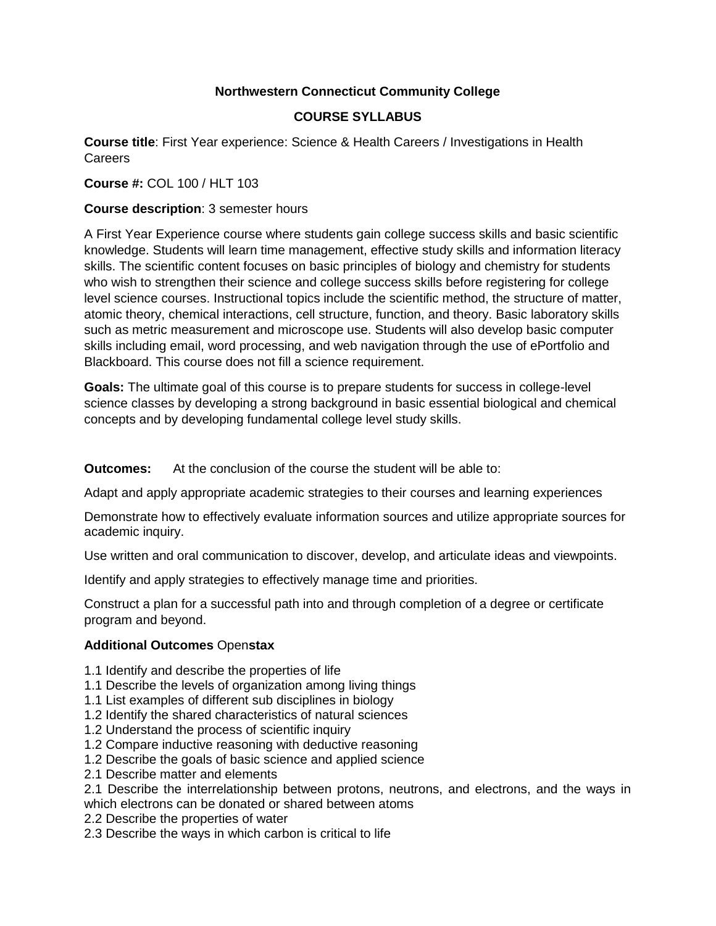# **Northwestern Connecticut Community College**

# **COURSE SYLLABUS**

**Course title**: First Year experience: Science & Health Careers / Investigations in Health Careers

**Course #:** COL 100 / HLT 103

## **Course description**: 3 semester hours

A First Year Experience course where students gain college success skills and basic scientific knowledge. Students will learn time management, effective study skills and information literacy skills. The scientific content focuses on basic principles of biology and chemistry for students who wish to strengthen their science and college success skills before registering for college level science courses. Instructional topics include the scientific method, the structure of matter, atomic theory, chemical interactions, cell structure, function, and theory. Basic laboratory skills such as metric measurement and microscope use. Students will also develop basic computer skills including email, word processing, and web navigation through the use of ePortfolio and Blackboard. This course does not fill a science requirement.

**Goals:** The ultimate goal of this course is to prepare students for success in college-level science classes by developing a strong background in basic essential biological and chemical concepts and by developing fundamental college level study skills.

**Outcomes:** At the conclusion of the course the student will be able to:

Adapt and apply appropriate academic strategies to their courses and learning experiences

Demonstrate how to effectively evaluate information sources and utilize appropriate sources for academic inquiry.

Use written and oral communication to discover, develop, and articulate ideas and viewpoints.

Identify and apply strategies to effectively manage time and priorities.

Construct a plan for a successful path into and through completion of a degree or certificate program and beyond.

## **Additional Outcomes** Open**stax**

- 1.1 Identify and describe the properties of life
- 1.1 Describe the levels of organization among living things
- 1.1 List examples of different sub disciplines in biology
- 1.2 Identify the shared characteristics of natural sciences
- 1.2 Understand the process of scientific inquiry
- 1.2 Compare inductive reasoning with deductive reasoning
- 1.2 Describe the goals of basic science and applied science
- 2.1 Describe matter and elements

2.1 Describe the interrelationship between protons, neutrons, and electrons, and the ways in which electrons can be donated or shared between atoms

2.2 Describe the properties of water

2.3 Describe the ways in which carbon is critical to life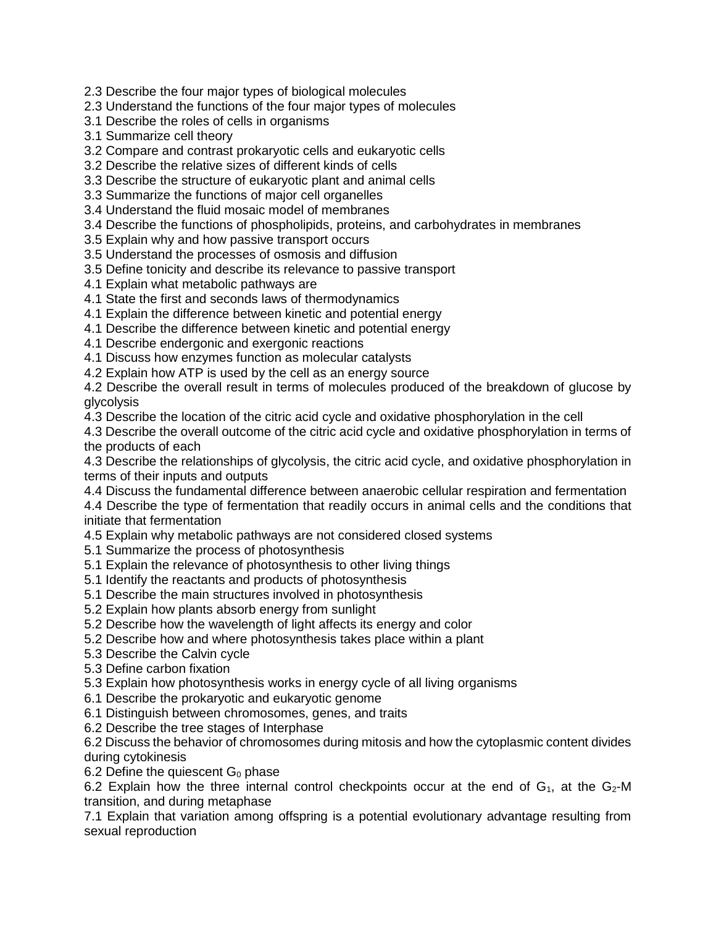2.3 Describe the four major types of biological molecules

2.3 Understand the functions of the four major types of molecules

3.1 Describe the roles of cells in organisms

3.1 Summarize cell theory

3.2 Compare and contrast prokaryotic cells and eukaryotic cells

3.2 Describe the relative sizes of different kinds of cells

3.3 Describe the structure of eukaryotic plant and animal cells

3.3 Summarize the functions of major cell organelles

3.4 Understand the fluid mosaic model of membranes

3.4 Describe the functions of phospholipids, proteins, and carbohydrates in membranes

3.5 Explain why and how passive transport occurs

3.5 Understand the processes of osmosis and diffusion

3.5 Define tonicity and describe its relevance to passive transport

4.1 Explain what metabolic pathways are

4.1 State the first and seconds laws of thermodynamics

4.1 Explain the difference between kinetic and potential energy

4.1 Describe the difference between kinetic and potential energy

4.1 Describe endergonic and exergonic reactions

4.1 Discuss how enzymes function as molecular catalysts

4.2 Explain how ATP is used by the cell as an energy source

4.2 Describe the overall result in terms of molecules produced of the breakdown of glucose by glycolysis

4.3 Describe the location of the citric acid cycle and oxidative phosphorylation in the cell

4.3 Describe the overall outcome of the citric acid cycle and oxidative phosphorylation in terms of the products of each

4.3 Describe the relationships of glycolysis, the citric acid cycle, and oxidative phosphorylation in terms of their inputs and outputs

4.4 Discuss the fundamental difference between anaerobic cellular respiration and fermentation

4.4 Describe the type of fermentation that readily occurs in animal cells and the conditions that initiate that fermentation

4.5 Explain why metabolic pathways are not considered closed systems

5.1 Summarize the process of photosynthesis

5.1 Explain the relevance of photosynthesis to other living things

5.1 Identify the reactants and products of photosynthesis

5.1 Describe the main structures involved in photosynthesis

5.2 Explain how plants absorb energy from sunlight

5.2 Describe how the wavelength of light affects its energy and color

5.2 Describe how and where photosynthesis takes place within a plant

5.3 Describe the Calvin cycle

5.3 Define carbon fixation

5.3 Explain how photosynthesis works in energy cycle of all living organisms

6.1 Describe the prokaryotic and eukaryotic genome

6.1 Distinguish between chromosomes, genes, and traits

6.2 Describe the tree stages of Interphase

6.2 Discuss the behavior of chromosomes during mitosis and how the cytoplasmic content divides during cytokinesis

6.2 Define the quiescent  $G_0$  phase

6.2 Explain how the three internal control checkpoints occur at the end of  $G_1$ , at the  $G_2$ -M transition, and during metaphase

7.1 Explain that variation among offspring is a potential evolutionary advantage resulting from sexual reproduction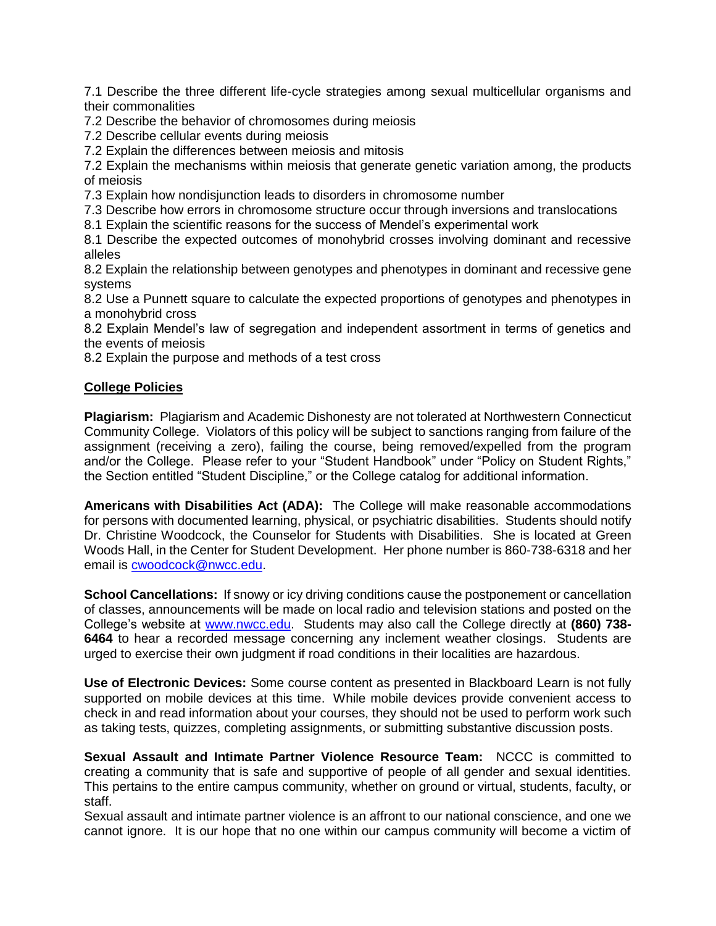7.1 Describe the three different life-cycle strategies among sexual multicellular organisms and their commonalities

7.2 Describe the behavior of chromosomes during meiosis

7.2 Describe cellular events during meiosis

7.2 Explain the differences between meiosis and mitosis

7.2 Explain the mechanisms within meiosis that generate genetic variation among, the products of meiosis

7.3 Explain how nondisjunction leads to disorders in chromosome number

7.3 Describe how errors in chromosome structure occur through inversions and translocations

8.1 Explain the scientific reasons for the success of Mendel's experimental work

8.1 Describe the expected outcomes of monohybrid crosses involving dominant and recessive alleles

8.2 Explain the relationship between genotypes and phenotypes in dominant and recessive gene systems

8.2 Use a Punnett square to calculate the expected proportions of genotypes and phenotypes in a monohybrid cross

8.2 Explain Mendel's law of segregation and independent assortment in terms of genetics and the events of meiosis

8.2 Explain the purpose and methods of a test cross

## **College Policies**

**Plagiarism:** Plagiarism and Academic Dishonesty are not tolerated at Northwestern Connecticut Community College. Violators of this policy will be subject to sanctions ranging from failure of the assignment (receiving a zero), failing the course, being removed/expelled from the program and/or the College. Please refer to your "Student Handbook" under "Policy on Student Rights," the Section entitled "Student Discipline," or the College catalog for additional information.

**Americans with Disabilities Act (ADA):** The College will make reasonable accommodations for persons with documented learning, physical, or psychiatric disabilities. Students should notify Dr. Christine Woodcock, the Counselor for Students with Disabilities. She is located at Green Woods Hall, in the Center for Student Development. Her phone number is 860-738-6318 and her email is [cwoodcock@nwcc.edu.](mailto:cwoodcock@nwcc.edu)

**School Cancellations:** If snowy or icy driving conditions cause the postponement or cancellation of classes, announcements will be made on local radio and television stations and posted on the College's website at [www.nwcc.edu.](http://www.nwcc.edu/) Students may also call the College directly at **(860) 738- 6464** to hear a recorded message concerning any inclement weather closings. Students are urged to exercise their own judgment if road conditions in their localities are hazardous.

**Use of Electronic Devices:** Some course content as presented in Blackboard Learn is not fully supported on mobile devices at this time. While mobile devices provide convenient access to check in and read information about your courses, they should not be used to perform work such as taking tests, quizzes, completing assignments, or submitting substantive discussion posts.

**Sexual Assault and Intimate Partner Violence Resource Team:** NCCC is committed to creating a community that is safe and supportive of people of all gender and sexual identities. This pertains to the entire campus community, whether on ground or virtual, students, faculty, or staff.

Sexual assault and intimate partner violence is an affront to our national conscience, and one we cannot ignore. It is our hope that no one within our campus community will become a victim of